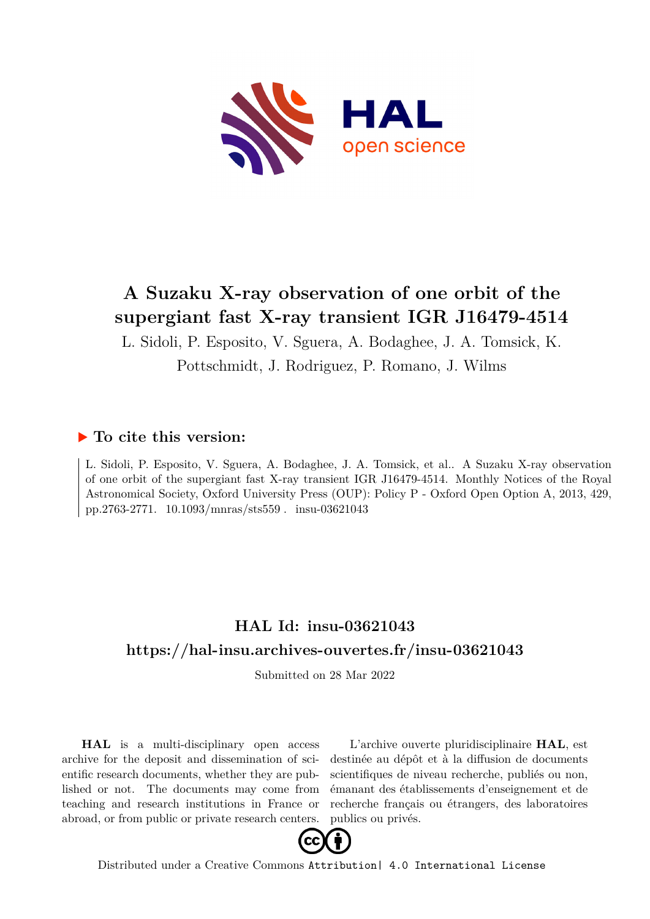

# **A Suzaku X-ray observation of one orbit of the supergiant fast X-ray transient IGR J16479-4514**

L. Sidoli, P. Esposito, V. Sguera, A. Bodaghee, J. A. Tomsick, K. Pottschmidt, J. Rodriguez, P. Romano, J. Wilms

## **To cite this version:**

L. Sidoli, P. Esposito, V. Sguera, A. Bodaghee, J. A. Tomsick, et al.. A Suzaku X-ray observation of one orbit of the supergiant fast X-ray transient IGR J16479-4514. Monthly Notices of the Royal Astronomical Society, Oxford University Press (OUP): Policy P - Oxford Open Option A, 2013, 429, pp.2763-2771.  $10.1093/mnras/sts559$ . insu-03621043

## **HAL Id: insu-03621043 <https://hal-insu.archives-ouvertes.fr/insu-03621043>**

Submitted on 28 Mar 2022

**HAL** is a multi-disciplinary open access archive for the deposit and dissemination of scientific research documents, whether they are published or not. The documents may come from teaching and research institutions in France or abroad, or from public or private research centers.

L'archive ouverte pluridisciplinaire **HAL**, est destinée au dépôt et à la diffusion de documents scientifiques de niveau recherche, publiés ou non, émanant des établissements d'enseignement et de recherche français ou étrangers, des laboratoires publics ou privés.



Distributed under a Creative Commons [Attribution| 4.0 International License](http://creativecommons.org/licenses/by/4.0/)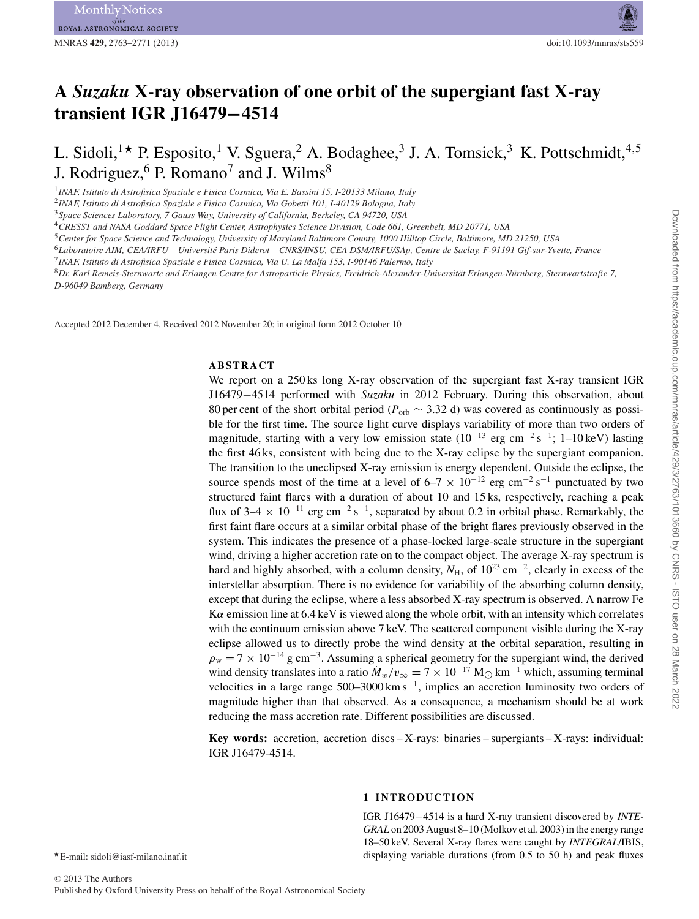Month ROYAL ASTRONOMICAL SOCIETY

## **A** *Suzaku* **X-ray observation of one orbit of the supergiant fast X-ray transient IGR J16479−4514**

## L. Sidoli,<sup>1\*</sup> P. Esposito,<sup>1</sup> V. Sguera,<sup>2</sup> A. Bodaghee,<sup>3</sup> J. A. Tomsick,<sup>3</sup> K. Pottschmidt,<sup>4,5</sup> J. Rodriguez,  $6$  P. Romano<sup>7</sup> and J. Wilms<sup>8</sup>

<sup>1</sup>*INAF, Istituto di Astrofisica Spaziale e Fisica Cosmica, Via E. Bassini 15, I-20133 Milano, Italy*

<sup>2</sup>*INAF, Istituto di Astrofisica Spaziale e Fisica Cosmica, Via Gobetti 101, I-40129 Bologna, Italy*

<sup>3</sup>*Space Sciences Laboratory, 7 Gauss Way, University of California, Berkeley, CA 94720, USA*

<sup>4</sup>*CRESST and NASA Goddard Space Flight Center, Astrophysics Science Division, Code 661, Greenbelt, MD 20771, USA*

<sup>5</sup>*Center for Space Science and Technology, University of Maryland Baltimore County, 1000 Hilltop Circle, Baltimore, MD 21250, USA*

<sup>6</sup>*Laboratoire AIM, CEA/IRFU – Universite Paris Diderot – CNRS/INSU, CEA DSM/IRFU/SAp, Centre de Saclay, F-91191 Gif-sur-Yvette, France ´*

<sup>7</sup>*INAF, Istituto di Astrofisica Spaziale e Fisica Cosmica, Via U. La Malfa 153, I-90146 Palermo, Italy*

<sup>8</sup>*Dr. Karl Remeis-Sternwarte and Erlangen Centre for Astroparticle Physics, Freidrich-Alexander-Universitat Erlangen-N ¨ urnberg, Sternwartstra ¨* β*e 7, D-96049 Bamberg, Germany*

Accepted 2012 December 4. Received 2012 November 20; in original form 2012 October 10

#### **ABSTRACT**

We report on a 250 ks long X-ray observation of the supergiant fast X-ray transient IGR J16479−4514 performed with *Suzaku* in 2012 February. During this observation, about 80 per cent of the short orbital period ( $P_{\text{orb}}$  ~ 3.32 d) was covered as continuously as possible for the first time. The source light curve displays variability of more than two orders of magnitude, starting with a very low emission state  $(10^{-13} \text{ erg cm}^{-2} \text{ s}^{-1}; 1-10 \text{ keV})$  lasting the first 46 ks, consistent with being due to the X-ray eclipse by the supergiant companion. The transition to the uneclipsed X-ray emission is energy dependent. Outside the eclipse, the source spends most of the time at a level of  $6-7 \times 10^{-12}$  erg cm<sup>-2</sup> s<sup>-1</sup> punctuated by two structured faint flares with a duration of about 10 and 15 ks, respectively, reaching a peak flux of 3–4  $\times$  10<sup>-11</sup> erg cm<sup>-2</sup> s<sup>-1</sup>, separated by about 0.2 in orbital phase. Remarkably, the first faint flare occurs at a similar orbital phase of the bright flares previously observed in the system. This indicates the presence of a phase-locked large-scale structure in the supergiant wind, driving a higher accretion rate on to the compact object. The average X-ray spectrum is hard and highly absorbed, with a column density,  $N_H$ , of 10<sup>23</sup> cm<sup>-2</sup>, clearly in excess of the interstellar absorption. There is no evidence for variability of the absorbing column density, except that during the eclipse, where a less absorbed X-ray spectrum is observed. A narrow Fe  $K\alpha$  emission line at 6.4 keV is viewed along the whole orbit, with an intensity which correlates with the continuum emission above 7 keV. The scattered component visible during the X-ray eclipse allowed us to directly probe the wind density at the orbital separation, resulting in  $\rho_w = 7 \times 10^{-14}$  g cm<sup>-3</sup>. Assuming a spherical geometry for the supergiant wind, the derived wind density translates into a ratio  $\dot{M}_w/v_\infty = 7 \times 10^{-17}$  M<sub> $\odot$ </sub> km<sup>-1</sup> which, assuming terminal velocities in a large range 500–3000 km s−1, implies an accretion luminosity two orders of magnitude higher than that observed. As a consequence, a mechanism should be at work reducing the mass accretion rate. Different possibilities are discussed.

**Key words:** accretion, accretion discs – X-rays: binaries – supergiants – X-rays: individual: IGR J16479-4514.

#### **1 INTRODUCTION**

IGR J16479−4514 is a hard X-ray transient discovered by *INTE-GRAL* on 2003 August 8–10 (Molkov et al. 2003) in the energy range 18–50 keV. Several X-ray flares were caught by *INTEGRAL*/IBIS, displaying variable durations (from 0.5 to 50 h) and peak fluxes

E-mail: sidoli@iasf-milano.inaf.it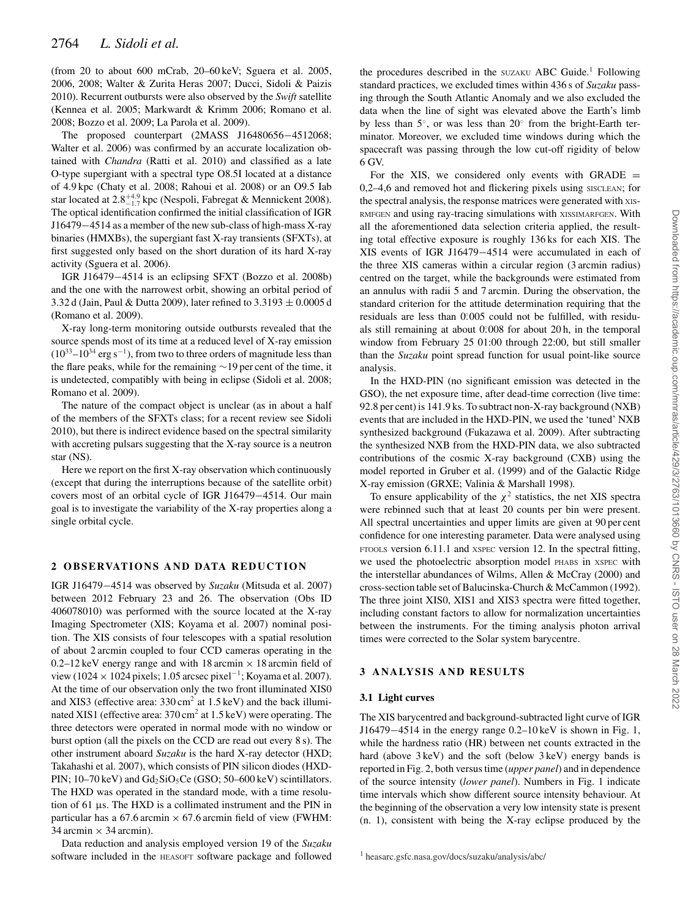(from 20 to about 600 mCrab, 20–60 keV; Sguera et al. 2005, 2006, 2008; Walter & Zurita Heras 2007; Ducci, Sidoli & Paizis 2010). Recurrent outbursts were also observed by the *Swift* satellite (Kennea et al. 2005; Markwardt & Krimm 2006; Romano et al. 2008; Bozzo et al. 2009; La Parola et al. 2009).

The proposed counterpart (2MASS J16480656−4512068; Walter et al. 2006) was confirmed by an accurate localization obtained with *Chandra* (Ratti et al. 2010) and classified as a late O-type supergiant with a spectral type O8.5I located at a distance of 4.9 kpc (Chaty et al. 2008; Rahoui et al. 2008) or an O9.5 Iab star located at  $2.8^{+4.9}_{-1.7}$  kpc (Nespoli, Fabregat & Mennickent 2008). The optical identification confirmed the initial classification of IGR J16479−4514 as a member of the new sub-class of high-mass X-ray binaries (HMXBs), the supergiant fast X-ray transients (SFXTs), at first suggested only based on the short duration of its hard X-ray activity (Sguera et al. 2006).

IGR J16479−4514 is an eclipsing SFXT (Bozzo et al. 2008b) and the one with the narrowest orbit, showing an orbital period of 3.32 d (Jain, Paul & Dutta 2009), later refined to  $3.3193 \pm 0.0005$  d (Romano et al. 2009).

X-ray long-term monitoring outside outbursts revealed that the source spends most of its time at a reduced level of X-ray emission  $(10^{33}-10^{34} \text{ erg s}^{-1})$ , from two to three orders of magnitude less than the flare peaks, while for the remaining ∼19 per cent of the time, it is undetected, compatibly with being in eclipse (Sidoli et al. 2008; Romano et al. 2009).

The nature of the compact object is unclear (as in about a half of the members of the SFXTs class; for a recent review see Sidoli 2010), but there is indirect evidence based on the spectral similarity with accreting pulsars suggesting that the X-ray source is a neutron star (NS).

Here we report on the first X-ray observation which continuously (except that during the interruptions because of the satellite orbit) covers most of an orbital cycle of IGR J16479−4514. Our main goal is to investigate the variability of the X-ray properties along a single orbital cycle.

### **2 OBSERVATIONS AND DATA REDUCTION**

IGR J16479−4514 was observed by *Suzaku* (Mitsuda et al. 2007) between 2012 February 23 and 26. The observation (Obs ID 406078010) was performed with the source located at the X-ray Imaging Spectrometer (XIS; Koyama et al. 2007) nominal position. The XIS consists of four telescopes with a spatial resolution of about 2 arcmin coupled to four CCD cameras operating in the 0.2–12 keV energy range and with 18 arcmin  $\times$  18 arcmin field of view (1024 × 1024 pixels; 1.05 arcsec pixel<sup>-1</sup>; Koyama et al. 2007). At the time of our observation only the two front illuminated XIS0 and XIS3 (effective area:  $330 \text{ cm}^2$  at  $1.5 \text{ keV}$ ) and the back illuminated XIS1 (effective area: 370 cm<sup>2</sup> at 1.5 keV) were operating. The three detectors were operated in normal mode with no window or burst option (all the pixels on the CCD are read out every 8 s). The other instrument aboard *Suzaku* is the hard X-ray detector (HXD; Takahashi et al. 2007), which consists of PIN silicon diodes (HXD-PIN;  $10-70 \text{ keV}$ ) and  $Gd_2SiO_5Ce$  (GSO;  $50-600 \text{ keV}$ ) scintillators. The HXD was operated in the standard mode, with a time resolution of 61 μs. The HXD is a collimated instrument and the PIN in particular has a  $67.6$  arcmin  $\times 67.6$  arcmin field of view (FWHM: 34 arcmin  $\times$  34 arcmin).

Data reduction and analysis employed version 19 of the *Suzaku* software included in the HEASOFT software package and followed

the procedures described in the  $SUZAKU$  ABC Guide.<sup>1</sup> Following standard practices, we excluded times within 436 s of *Suzaku* passing through the South Atlantic Anomaly and we also excluded the data when the line of sight was elevated above the Earth's limb by less than 5◦, or was less than 20◦ from the bright-Earth terminator. Moreover, we excluded time windows during which the spacecraft was passing through the low cut-off rigidity of below 6 GV.

For the XIS, we considered only events with GRADE  $=$ 0,2–4,6 and removed hot and flickering pixels using SISCLEAN; for the spectral analysis, the response matrices were generated with XIS-RMFGEN and using ray-tracing simulations with XISSIMARFGEN. With all the aforementioned data selection criteria applied, the resulting total effective exposure is roughly 136 ks for each XIS. The XIS events of IGR J16479−4514 were accumulated in each of the three XIS cameras within a circular region (3 arcmin radius) centred on the target, while the backgrounds were estimated from an annulus with radii 5 and 7 arcmin. During the observation, the standard criterion for the attitude determination requiring that the residuals are less than 0.005 could not be fulfilled, with residuals still remaining at about 0.008 for about 20 h, in the temporal window from February 25 01:00 through 22:00, but still smaller than the *Suzaku* point spread function for usual point-like source analysis.

In the HXD-PIN (no significant emission was detected in the GSO), the net exposure time, after dead-time correction (live time: 92.8 per cent) is 141.9 ks. To subtract non-X-ray background (NXB) events that are included in the HXD-PIN, we used the 'tuned' NXB synthesized background (Fukazawa et al. 2009). After subtracting the synthesized NXB from the HXD-PIN data, we also subtracted contributions of the cosmic X-ray background (CXB) using the model reported in Gruber et al. (1999) and of the Galactic Ridge X-ray emission (GRXE; Valinia & Marshall 1998).

To ensure applicability of the  $\chi^2$  statistics, the net XIS spectra were rebinned such that at least 20 counts per bin were present. All spectral uncertainties and upper limits are given at 90 per cent confidence for one interesting parameter. Data were analysed using FTOOLS version 6.11.1 and XSPEC version 12. In the spectral fitting, we used the photoelectric absorption model PHABS in XSPEC with the interstellar abundances of Wilms, Allen & McCray (2000) and cross-section table set of Balucinska-Church & McCammon (1992). The three joint XIS0, XIS1 and XIS3 spectra were fitted together, including constant factors to allow for normalization uncertainties between the instruments. For the timing analysis photon arrival times were corrected to the Solar system barycentre.

#### **3 ANALYSIS AND RESULTS**

#### **3.1 Light curves**

The XIS barycentred and background-subtracted light curve of IGR J16479−4514 in the energy range 0.2–10 keV is shown in Fig. 1, while the hardness ratio (HR) between net counts extracted in the hard (above  $3 \text{ keV}$ ) and the soft (below  $3 \text{ keV}$ ) energy bands is reported in Fig. 2, both versus time (*upper panel*) and in dependence of the source intensity (*lower panel*). Numbers in Fig. 1 indicate time intervals which show different source intensity behaviour. At the beginning of the observation a very low intensity state is present (n. 1), consistent with being the X-ray eclipse produced by the

<sup>1</sup> heasarc.gsfc.nasa.gov/docs/suzaku/analysis/abc/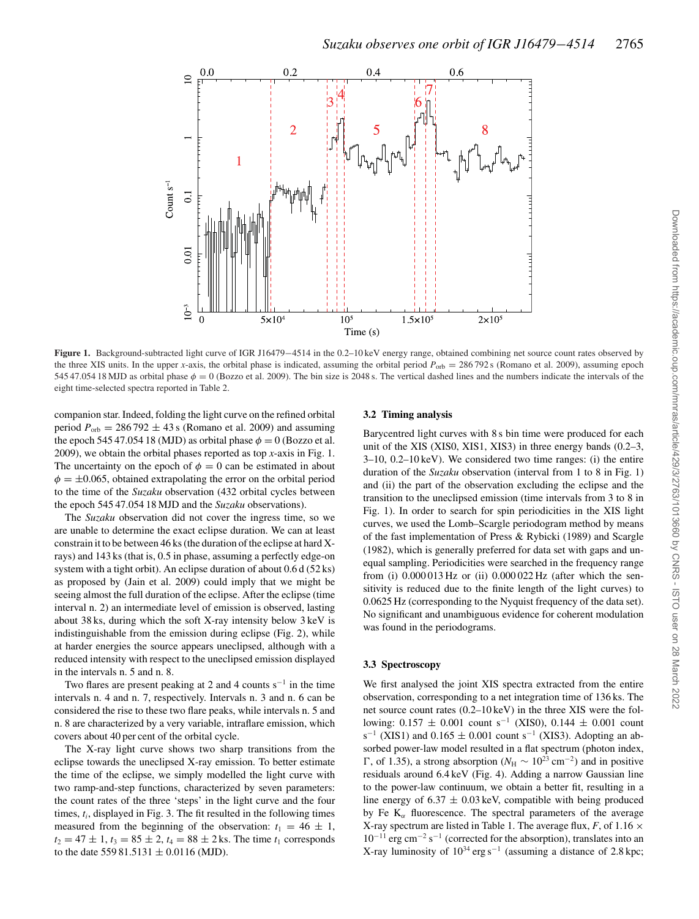

**Figure 1.** Background-subtracted light curve of IGR J16479−4514 in the 0.2–10 keV energy range, obtained combining net source count rates observed by the three XIS units. In the upper *x*-axis, the orbital phase is indicated, assuming the orbital period  $P_{\text{orb}} = 286792$  s (Romano et al. 2009), assuming epoch 545 47.054 18 MJD as orbital phase  $\phi = 0$  (Bozzo et al. 2009). The bin size is 2048 s. The vertical dashed lines and the numbers indicate the intervals of the eight time-selected spectra reported in Table 2.

companion star. Indeed, folding the light curve on the refined orbital period  $P_{\text{orb}} = 286792 \pm 43$  s (Romano et al. 2009) and assuming the epoch 545 47.054 18 (MJD) as orbital phase  $\phi = 0$  (Bozzo et al. 2009), we obtain the orbital phases reported as top *x*-axis in Fig. 1. The uncertainty on the epoch of  $\phi = 0$  can be estimated in about  $\phi = \pm 0.065$ , obtained extrapolating the error on the orbital period to the time of the *Suzaku* observation (432 orbital cycles between the epoch 545 47.054 18 MJD and the *Suzaku* observations).

The *Suzaku* observation did not cover the ingress time, so we are unable to determine the exact eclipse duration. We can at least constrain it to be between 46 ks (the duration of the eclipse at hard Xrays) and 143 ks (that is, 0.5 in phase, assuming a perfectly edge-on system with a tight orbit). An eclipse duration of about 0.6 d (52 ks) as proposed by (Jain et al. 2009) could imply that we might be seeing almost the full duration of the eclipse. After the eclipse (time interval n. 2) an intermediate level of emission is observed, lasting about 38 ks, during which the soft X-ray intensity below 3 keV is indistinguishable from the emission during eclipse (Fig. 2), while at harder energies the source appears uneclipsed, although with a reduced intensity with respect to the uneclipsed emission displayed in the intervals n. 5 and n. 8.

Two flares are present peaking at 2 and 4 counts  $s^{-1}$  in the time intervals n. 4 and n. 7, respectively. Intervals n. 3 and n. 6 can be considered the rise to these two flare peaks, while intervals n. 5 and n. 8 are characterized by a very variable, intraflare emission, which covers about 40 per cent of the orbital cycle.

The X-ray light curve shows two sharp transitions from the eclipse towards the uneclipsed X-ray emission. To better estimate the time of the eclipse, we simply modelled the light curve with two ramp-and-step functions, characterized by seven parameters: the count rates of the three 'steps' in the light curve and the four times,  $t_i$ , displayed in Fig. 3. The fit resulted in the following times measured from the beginning of the observation:  $t_1 = 46 \pm 1$ ,  $t_2 = 47 \pm 1$ ,  $t_3 = 85 \pm 2$ ,  $t_4 = 88 \pm 2$  ks. The time  $t_1$  corresponds to the date 559 81.5131  $\pm$  0.0116 (MJD).

#### **3.2 Timing analysis**

Barycentred light curves with 8 s bin time were produced for each unit of the XIS (XIS0, XIS1, XIS3) in three energy bands (0.2–3, 3–10, 0.2–10 keV). We considered two time ranges: (i) the entire duration of the *Suzaku* observation (interval from 1 to 8 in Fig. 1) and (ii) the part of the observation excluding the eclipse and the transition to the uneclipsed emission (time intervals from 3 to 8 in Fig. 1). In order to search for spin periodicities in the XIS light curves, we used the Lomb–Scargle periodogram method by means of the fast implementation of Press & Rybicki (1989) and Scargle (1982), which is generally preferred for data set with gaps and unequal sampling. Periodicities were searched in the frequency range from (i) 0.000 013 Hz or (ii) 0.000 022 Hz (after which the sensitivity is reduced due to the finite length of the light curves) to 0.0625 Hz (corresponding to the Nyquist frequency of the data set). No significant and unambiguous evidence for coherent modulation was found in the periodograms.

#### **3.3 Spectroscopy**

We first analysed the joint XIS spectra extracted from the entire observation, corresponding to a net integration time of 136 ks. The net source count rates (0.2–10 keV) in the three XIS were the following:  $0.157 \pm 0.001$  count s<sup>-1</sup> (XIS0),  $0.144 \pm 0.001$  count s<sup>-1</sup> (XIS1) and 0.165  $\pm$  0.001 count s<sup>-1</sup> (XIS3). Adopting an absorbed power-law model resulted in a flat spectrum (photon index,  $\Gamma$ , of 1.35), a strong absorption ( $N_{\rm H}$  ∼ 10<sup>23</sup> cm<sup>-2</sup>) and in positive residuals around 6.4 keV (Fig. 4). Adding a narrow Gaussian line to the power-law continuum, we obtain a better fit, resulting in a line energy of  $6.37 \pm 0.03$  keV, compatible with being produced by Fe  $K_{\alpha}$  fluorescence. The spectral parameters of the average X-ray spectrum are listed in Table 1. The average flux,  $F$ , of 1.16  $\times$  $10^{-11}$  erg cm<sup>-2</sup> s<sup>-1</sup> (corrected for the absorption), translates into an X-ray luminosity of  $10^{34}$  erg s<sup>-1</sup> (assuming a distance of 2.8 kpc;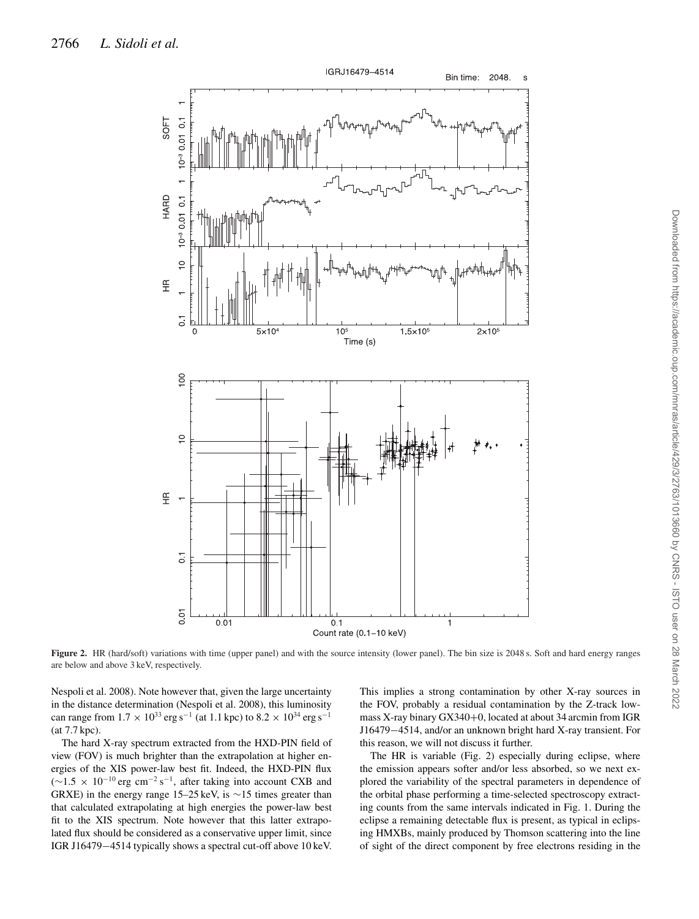

Downloaded from https://academic.oup.com/mnras/article/429/3/2763/1013660 by CNRS - ISTO user on 28 March 2022 Downloaded from https://academic.oup.com/mnras/article/429/3/2763/1013660 by CNRS - ISTO user on 28 March 2022

**Figure 2.** HR (hard/soft) variations with time (upper panel) and with the source intensity (lower panel). The bin size is 2048 s. Soft and hard energy ranges are below and above 3 keV, respectively.

Nespoli et al. 2008). Note however that, given the large uncertainty in the distance determination (Nespoli et al. 2008), this luminosity can range from  $1.7 \times 10^{33}$  erg s<sup>-1</sup> (at 1.1 kpc) to  $8.2 \times 10^{34}$  erg s<sup>-1</sup> (at 7.7 kpc).

The hard X-ray spectrum extracted from the HXD-PIN field of view (FOV) is much brighter than the extrapolation at higher energies of the XIS power-law best fit. Indeed, the HXD-PIN flux ( $∼1.5 \times 10^{-10}$  erg cm<sup>-2</sup> s<sup>-1</sup>, after taking into account CXB and GRXE) in the energy range 15–25 keV, is ∼15 times greater than that calculated extrapolating at high energies the power-law best fit to the XIS spectrum. Note however that this latter extrapolated flux should be considered as a conservative upper limit, since IGR J16479−4514 typically shows a spectral cut-off above 10 keV. This implies a strong contamination by other X-ray sources in the FOV, probably a residual contamination by the Z-track lowmass X-ray binary GX340+0, located at about 34 arcmin from IGR J16479−4514, and/or an unknown bright hard X-ray transient. For this reason, we will not discuss it further.

The HR is variable (Fig. 2) especially during eclipse, where the emission appears softer and/or less absorbed, so we next explored the variability of the spectral parameters in dependence of the orbital phase performing a time-selected spectroscopy extracting counts from the same intervals indicated in Fig. 1. During the eclipse a remaining detectable flux is present, as typical in eclipsing HMXBs, mainly produced by Thomson scattering into the line of sight of the direct component by free electrons residing in the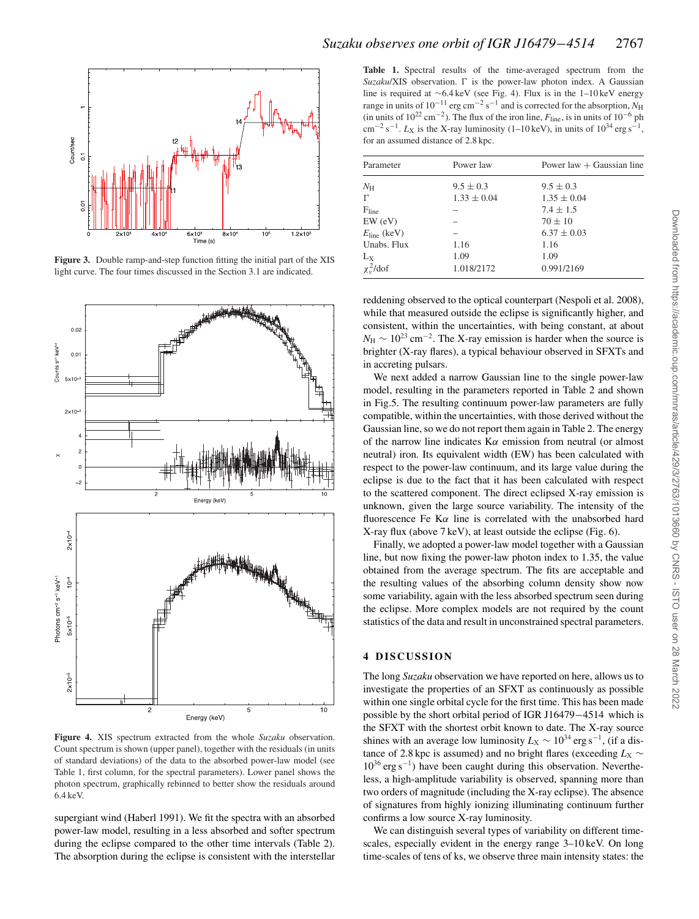

**Figure 3.** Double ramp-and-step function fitting the initial part of the XIS light curve. The four times discussed in the Section 3.1 are indicated.



**Figure 4.** XIS spectrum extracted from the whole *Suzaku* observation. Count spectrum is shown (upper panel), together with the residuals (in units of standard deviations) of the data to the absorbed power-law model (see Table 1, first column, for the spectral parameters). Lower panel shows the photon spectrum, graphically rebinned to better show the residuals around 6.4 keV.

supergiant wind (Haberl 1991). We fit the spectra with an absorbed power-law model, resulting in a less absorbed and softer spectrum during the eclipse compared to the other time intervals (Table 2). The absorption during the eclipse is consistent with the interstellar

**Table 1.** Spectral results of the time-averaged spectrum from the Suzaku/XIS observation.  $\Gamma$  is the power-law photon index. A Gaussian line is required at ∼6.4 keV (see Fig. 4). Flux is in the 1–10 keV energy range in units of 10−<sup>11</sup> erg cm−<sup>2</sup> s−<sup>1</sup> and is corrected for the absorption, *N*<sup>H</sup> (in units of  $10^{22}$  cm<sup>-2</sup>). The flux of the iron line,  $F_{\text{line}}$ , is in units of  $10^{-6}$  ph  $\text{cm}^{-2} \text{ s}^{-1}$ . *L*<sub>X</sub> is the X-ray luminosity (1–10 keV), in units of 10<sup>34</sup> erg s<sup>−1</sup> for an assumed distance of 2.8 kpc.

| Parameter               | Power law       | Power law $+$ Gaussian line |  |  |  |
|-------------------------|-----------------|-----------------------------|--|--|--|
| $N_{\rm H}$             | $9.5 \pm 0.3$   | $9.5 \pm 0.3$               |  |  |  |
| Г                       | $1.33 \pm 0.04$ | $1.35 \pm 0.04$             |  |  |  |
| F <sub>line</sub>       |                 | $7.4 \pm 1.5$               |  |  |  |
| $EW$ (eV)               |                 | $70 \pm 10$                 |  |  |  |
| $E_{\text{line}}$ (keV) |                 | $6.37 \pm 0.03$             |  |  |  |
| Unabs. Flux             | 1.16            | 1.16                        |  |  |  |
| $L_X$                   | 1.09            | 1.09                        |  |  |  |
| $\chi_v^2$ /dof         | 1.018/2172      | 0.991/2169                  |  |  |  |
|                         |                 |                             |  |  |  |

reddening observed to the optical counterpart (Nespoli et al. 2008), while that measured outside the eclipse is significantly higher, and consistent, within the uncertainties, with being constant, at about  $N_{\rm H} \sim 10^{23} \text{ cm}^{-2}$ . The X-ray emission is harder when the source is brighter (X-ray flares), a typical behaviour observed in SFXTs and in accreting pulsars.

We next added a narrow Gaussian line to the single power-law model, resulting in the parameters reported in Table 2 and shown in Fig.5. The resulting continuum power-law parameters are fully compatible, within the uncertainties, with those derived without the Gaussian line, so we do not report them again in Table 2. The energy of the narrow line indicates  $K\alpha$  emission from neutral (or almost neutral) iron. Its equivalent width (EW) has been calculated with respect to the power-law continuum, and its large value during the eclipse is due to the fact that it has been calculated with respect to the scattered component. The direct eclipsed X-ray emission is unknown, given the large source variability. The intensity of the fluorescence Fe K $\alpha$  line is correlated with the unabsorbed hard X-ray flux (above 7 keV), at least outside the eclipse (Fig. 6).

Finally, we adopted a power-law model together with a Gaussian line, but now fixing the power-law photon index to 1.35, the value obtained from the average spectrum. The fits are acceptable and the resulting values of the absorbing column density show now some variability, again with the less absorbed spectrum seen during the eclipse. More complex models are not required by the count statistics of the data and result in unconstrained spectral parameters.

### **4 DISCUSSION**

The long *Suzaku* observation we have reported on here, allows us to investigate the properties of an SFXT as continuously as possible within one single orbital cycle for the first time. This has been made possible by the short orbital period of IGR J16479−4514 which is the SFXT with the shortest orbit known to date. The X-ray source shines with an average low luminosity  $L_X \sim 10^{34}$  erg s<sup>-1</sup>, (if a distance of 2.8 kpc is assumed) and no bright flares (exceeding  $L_X \sim$  $10^{36}$  erg s<sup>-1</sup>) have been caught during this observation. Nevertheless, a high-amplitude variability is observed, spanning more than two orders of magnitude (including the X-ray eclipse). The absence of signatures from highly ionizing illuminating continuum further confirms a low source X-ray luminosity.

We can distinguish several types of variability on different timescales, especially evident in the energy range 3–10 keV. On long time-scales of tens of ks, we observe three main intensity states: the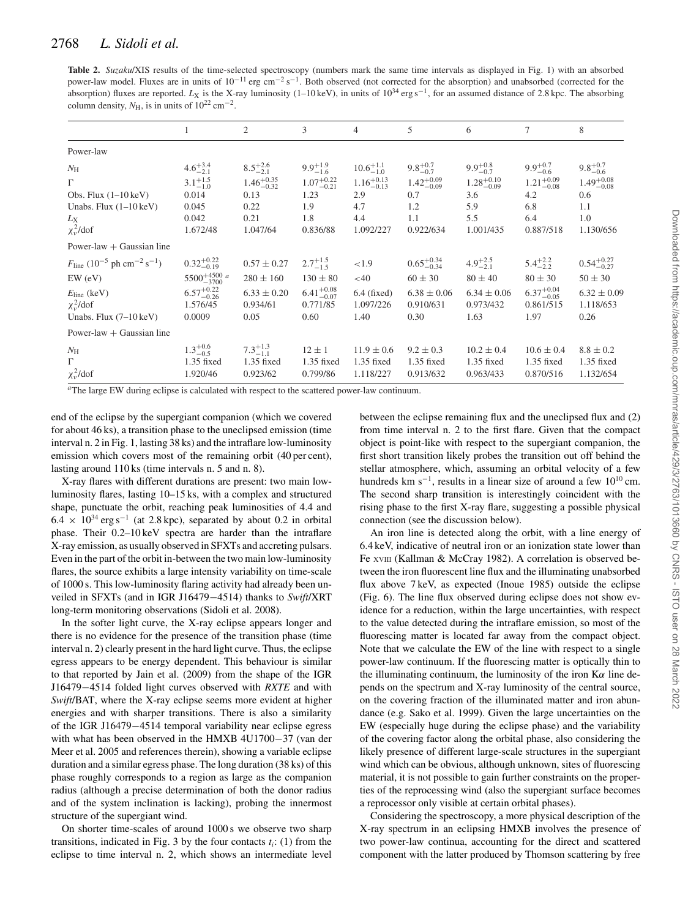## 2768 *L. Sidoli et al.*

**Table 2.** *Suzaku*/XIS results of the time-selected spectroscopy (numbers mark the same time intervals as displayed in Fig. 1) with an absorbed power-law model. Fluxes are in units of  $10^{-11}$  erg cm<sup>-2</sup> s<sup>-1</sup>. Both observed (not corrected for the absorption) and unabsorbed (corrected for the absorption) fluxes are reported. *L*<sub>X</sub> is the X-ray luminosity (1–10 keV), in units of 10<sup>34</sup> erg s<sup>−1</sup>, for an assumed distance of 2.8 kpc. The absorbing column density,  $N_{\rm H}$ , is in units of 10<sup>22</sup> cm<sup>-2</sup>.

|                                                                                                                                                                         |                                                                                                    | 2                                                                                 | 3                                                                                 | 4                                                                                | 5                                                                               | 6                                                                               | 7                                                                                 | 8                                                                               |
|-------------------------------------------------------------------------------------------------------------------------------------------------------------------------|----------------------------------------------------------------------------------------------------|-----------------------------------------------------------------------------------|-----------------------------------------------------------------------------------|----------------------------------------------------------------------------------|---------------------------------------------------------------------------------|---------------------------------------------------------------------------------|-----------------------------------------------------------------------------------|---------------------------------------------------------------------------------|
| Power-law                                                                                                                                                               |                                                                                                    |                                                                                   |                                                                                   |                                                                                  |                                                                                 |                                                                                 |                                                                                   |                                                                                 |
| $N_{\rm H}$<br>$\Gamma$<br>Obs. Flux $(1-10 \text{ keV})$<br>Unabs. Flux $(1-10 \,\text{keV})$<br>$L_{\rm X}$<br>$\chi_v^2$ /dof                                        | $4.6^{+3.4}_{-2.1}$<br>$3.1^{+1.5}_{-1.0}$<br>0.014<br>0.045<br>0.042<br>1.672/48                  | $8.5^{+2.6}_{-2.1}$<br>$1.46^{+0.35}_{-0.32}$<br>0.13<br>0.22<br>0.21<br>1.047/64 | $9.9^{+1.9}_{-1.6}$<br>$1.07^{+0.22}_{-0.21}$<br>1.23<br>1.9<br>1.8<br>0.836/88   | $10.6^{+1.1}_{-1.0}$<br>$1.16^{+0.13}_{-0.13}$<br>2.9<br>4.7<br>4.4<br>1.092/227 | $9.8^{+0.7}_{-0.7}$<br>$1.42^{+0.09}_{-0.09}$<br>0.7<br>1.2<br>1.1<br>0.922/634 | $9.9^{+0.8}_{-0.7}$<br>$1.28^{+0.10}_{-0.09}$<br>3.6<br>5.9<br>5.5<br>1.001/435 | $9.9^{+0.7}_{-0.6}$<br>$1.21_{-0.08}^{+0.09}$<br>4.2<br>6.8<br>6.4<br>0.887/518   | $9.8^{+0.7}_{-0.6}$<br>$1.49^{+0.08}_{-0.08}$<br>0.6<br>1.1<br>1.0<br>1.130/656 |
| Power-law $+$ Gaussian line                                                                                                                                             |                                                                                                    |                                                                                   |                                                                                   |                                                                                  |                                                                                 |                                                                                 |                                                                                   |                                                                                 |
| $F_{\text{line}}$ (10 <sup>-5</sup> ph cm <sup>-2</sup> s <sup>-1</sup> )<br>$EW$ (eV)<br>$E_{\text{line}}$ (keV)<br>$\chi^2$ /dof<br>Unabs. Flux $(7-10 \,\text{keV})$ | $0.32_{-0.19}^{+0.22}$<br>$5500^{+4500}_{-3700}$ a<br>$6.57^{+0.22}_{-0.26}$<br>1.576/45<br>0.0009 | $0.57 \pm 0.27$<br>$280 \pm 160$<br>$6.33 \pm 0.20$<br>0.934/61<br>0.05           | $2.7^{+1.5}_{-1.5}$<br>$130 \pm 80$<br>$6.41^{+0.08}_{-0.07}$<br>0.771/85<br>0.60 | ${<}1.9$<br>$<$ 40<br>$6.4$ (fixed)<br>1.097/226<br>1.40                         | $0.65^{+0.34}_{-0.34}$<br>$60 \pm 30$<br>$6.38 \pm 0.06$<br>0.910/631<br>0.30   | $4.9^{+2.5}_{-2.1}$<br>$80 \pm 40$<br>$6.34 \pm 0.06$<br>0.973/432<br>1.63      | $5.4^{+2.2}_{-2.2}$<br>$80 \pm 30$<br>$6.37^{+0.04}_{-0.05}$<br>0.861/515<br>1.97 | $0.54^{+0.27}_{-0.27}$<br>$50 \pm 30$<br>$6.32 \pm 0.09$<br>1.118/653<br>0.26   |
| Power-law $+$ Gaussian line                                                                                                                                             |                                                                                                    |                                                                                   |                                                                                   |                                                                                  |                                                                                 |                                                                                 |                                                                                   |                                                                                 |
| $N_{\rm H}$<br>$\Gamma$<br>$\chi_v^2$ /dof                                                                                                                              | $1.3^{+0.6}_{-0.5}$<br>1.35 fixed<br>1.920/46                                                      | $7.3^{+1.3}_{-1.1}$<br>1.35 fixed<br>0.923/62                                     | $12 \pm 1$<br>1.35 fixed<br>0.799/86                                              | $11.9 \pm 0.6$<br>$1.35$ fixed<br>1.118/227                                      | $9.2 \pm 0.3$<br>$1.35$ fixed<br>0.913/632                                      | $10.2 \pm 0.4$<br>$1.35$ fixed<br>0.963/433                                     | $10.6 \pm 0.4$<br>$1.35$ fixed<br>0.870/516                                       | $8.8 \pm 0.2$<br>$1.35$ fixed<br>1.132/654                                      |

*<sup>a</sup>*The large EW during eclipse is calculated with respect to the scattered power-law continuum.

end of the eclipse by the supergiant companion (which we covered for about 46 ks), a transition phase to the uneclipsed emission (time interval n. 2 in Fig. 1, lasting 38 ks) and the intraflare low-luminosity emission which covers most of the remaining orbit (40 per cent), lasting around 110 ks (time intervals n. 5 and n. 8).

X-ray flares with different durations are present: two main lowluminosity flares, lasting 10–15 ks, with a complex and structured shape, punctuate the orbit, reaching peak luminosities of 4.4 and  $6.4 \times 10^{34}$  erg s<sup>-1</sup> (at 2.8 kpc), separated by about 0.2 in orbital phase. Their 0.2–10 keV spectra are harder than the intraflare X-ray emission, as usually observed in SFXTs and accreting pulsars. Even in the part of the orbit in-between the two main low-luminosity flares, the source exhibits a large intensity variability on time-scale of 1000 s. This low-luminosity flaring activity had already been unveiled in SFXTs (and in IGR J16479−4514) thanks to *Swift*/XRT long-term monitoring observations (Sidoli et al. 2008).

In the softer light curve, the X-ray eclipse appears longer and there is no evidence for the presence of the transition phase (time interval n. 2) clearly present in the hard light curve. Thus, the eclipse egress appears to be energy dependent. This behaviour is similar to that reported by Jain et al. (2009) from the shape of the IGR J16479−4514 folded light curves observed with *RXTE* and with *Swift*/BAT, where the X-ray eclipse seems more evident at higher energies and with sharper transitions. There is also a similarity of the IGR J16479−4514 temporal variability near eclipse egress with what has been observed in the HMXB 4U1700−37 (van der Meer et al. 2005 and references therein), showing a variable eclipse duration and a similar egress phase. The long duration (38 ks) of this phase roughly corresponds to a region as large as the companion radius (although a precise determination of both the donor radius and of the system inclination is lacking), probing the innermost structure of the supergiant wind.

On shorter time-scales of around 1000 s we observe two sharp transitions, indicated in Fig. 3 by the four contacts  $t_i$ : (1) from the eclipse to time interval n. 2, which shows an intermediate level between the eclipse remaining flux and the uneclipsed flux and (2) from time interval n. 2 to the first flare. Given that the compact object is point-like with respect to the supergiant companion, the first short transition likely probes the transition out off behind the stellar atmosphere, which, assuming an orbital velocity of a few hundreds km s<sup>-1</sup>, results in a linear size of around a few  $10^{10}$  cm. The second sharp transition is interestingly coincident with the rising phase to the first X-ray flare, suggesting a possible physical connection (see the discussion below).

An iron line is detected along the orbit, with a line energy of 6.4 keV, indicative of neutral iron or an ionization state lower than Fe XVIII (Kallman & McCray 1982). A correlation is observed between the iron fluorescent line flux and the illuminating unabsorbed flux above 7 keV, as expected (Inoue 1985) outside the eclipse (Fig. 6). The line flux observed during eclipse does not show evidence for a reduction, within the large uncertainties, with respect to the value detected during the intraflare emission, so most of the fluorescing matter is located far away from the compact object. Note that we calculate the EW of the line with respect to a single power-law continuum. If the fluorescing matter is optically thin to the illuminating continuum, the luminosity of the iron  $K\alpha$  line depends on the spectrum and X-ray luminosity of the central source, on the covering fraction of the illuminated matter and iron abundance (e.g. Sako et al. 1999). Given the large uncertainties on the EW (especially huge during the eclipse phase) and the variability of the covering factor along the orbital phase, also considering the likely presence of different large-scale structures in the supergiant wind which can be obvious, although unknown, sites of fluorescing material, it is not possible to gain further constraints on the properties of the reprocessing wind (also the supergiant surface becomes a reprocessor only visible at certain orbital phases).

Considering the spectroscopy, a more physical description of the X-ray spectrum in an eclipsing HMXB involves the presence of two power-law continua, accounting for the direct and scattered component with the latter produced by Thomson scattering by free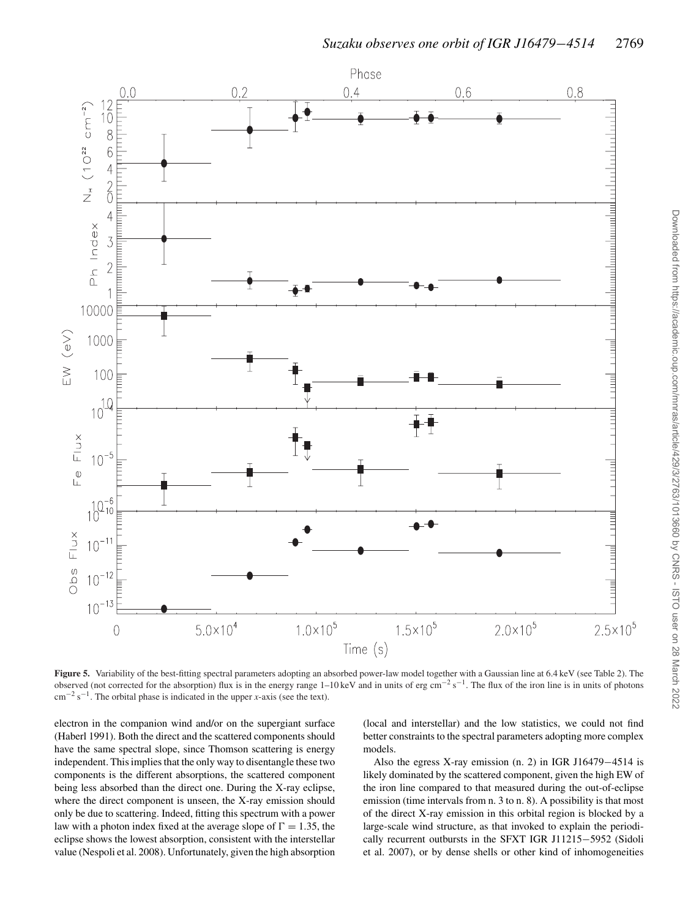

**Figure 5.** Variability of the best-fitting spectral parameters adopting an absorbed power-law model together with a Gaussian line at 6.4 keV (see Table 2). The observed (not corrected for the absorption) flux is in the energy range 1–10 keV and in units of erg cm<sup>-2</sup> s<sup>-1</sup>. The flux of the iron line is in units of photons cm−<sup>2</sup> s−1. The orbital phase is indicated in the upper *x*-axis (see the text).

electron in the companion wind and/or on the supergiant surface (Haberl 1991). Both the direct and the scattered components should have the same spectral slope, since Thomson scattering is energy independent. This implies that the only way to disentangle these two components is the different absorptions, the scattered component being less absorbed than the direct one. During the X-ray eclipse, where the direct component is unseen, the X-ray emission should only be due to scattering. Indeed, fitting this spectrum with a power law with a photon index fixed at the average slope of  $\Gamma = 1.35$ , the eclipse shows the lowest absorption, consistent with the interstellar value (Nespoli et al. 2008). Unfortunately, given the high absorption

(local and interstellar) and the low statistics, we could not find better constraints to the spectral parameters adopting more complex models.

Also the egress X-ray emission (n. 2) in IGR J16479−4514 is likely dominated by the scattered component, given the high EW of the iron line compared to that measured during the out-of-eclipse emission (time intervals from n. 3 to n. 8). A possibility is that most of the direct X-ray emission in this orbital region is blocked by a large-scale wind structure, as that invoked to explain the periodically recurrent outbursts in the SFXT IGR J11215−5952 (Sidoli et al. 2007), or by dense shells or other kind of inhomogeneities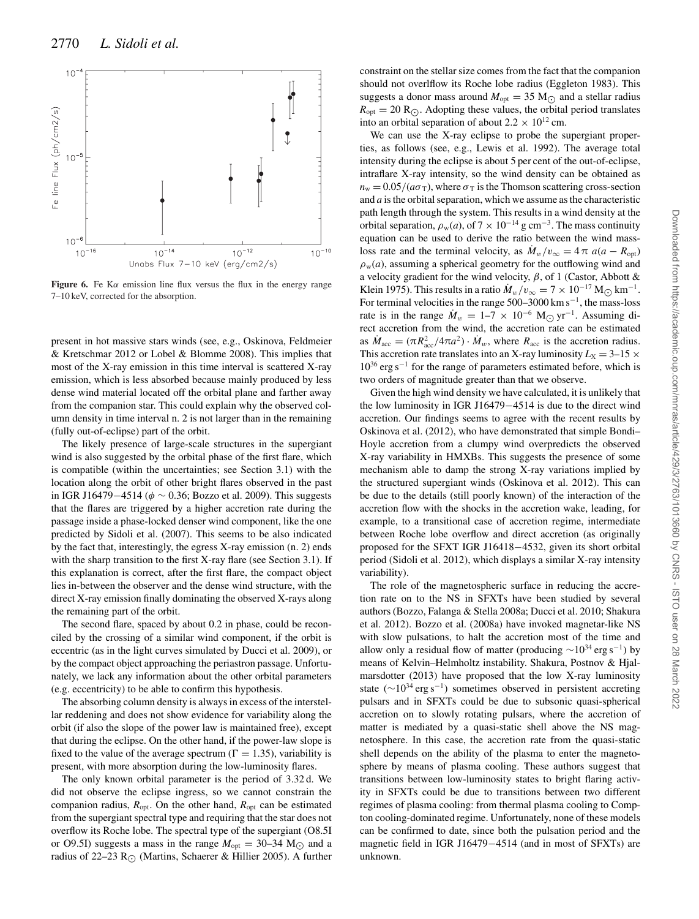

**Figure 6.** Fe K $\alpha$  emission line flux versus the flux in the energy range 7–10 keV, corrected for the absorption.

present in hot massive stars winds (see, e.g., Oskinova, Feldmeier & Kretschmar 2012 or Lobel & Blomme 2008). This implies that most of the X-ray emission in this time interval is scattered X-ray emission, which is less absorbed because mainly produced by less dense wind material located off the orbital plane and farther away from the companion star. This could explain why the observed column density in time interval n. 2 is not larger than in the remaining (fully out-of-eclipse) part of the orbit.

The likely presence of large-scale structures in the supergiant wind is also suggested by the orbital phase of the first flare, which is compatible (within the uncertainties; see Section 3.1) with the location along the orbit of other bright flares observed in the past in IGR J16479−4514 ( $\phi \sim 0.36$ ; Bozzo et al. 2009). This suggests that the flares are triggered by a higher accretion rate during the passage inside a phase-locked denser wind component, like the one predicted by Sidoli et al. (2007). This seems to be also indicated by the fact that, interestingly, the egress X-ray emission (n. 2) ends with the sharp transition to the first X-ray flare (see Section 3.1). If this explanation is correct, after the first flare, the compact object lies in-between the observer and the dense wind structure, with the direct X-ray emission finally dominating the observed X-rays along the remaining part of the orbit.

The second flare, spaced by about 0.2 in phase, could be reconciled by the crossing of a similar wind component, if the orbit is eccentric (as in the light curves simulated by Ducci et al. 2009), or by the compact object approaching the periastron passage. Unfortunately, we lack any information about the other orbital parameters (e.g. eccentricity) to be able to confirm this hypothesis.

The absorbing column density is always in excess of the interstellar reddening and does not show evidence for variability along the orbit (if also the slope of the power law is maintained free), except that during the eclipse. On the other hand, if the power-law slope is fixed to the value of the average spectrum ( $\Gamma = 1.35$ ), variability is present, with more absorption during the low-luminosity flares.

The only known orbital parameter is the period of 3.32 d. We did not observe the eclipse ingress, so we cannot constrain the companion radius,  $R_{opt}$ . On the other hand,  $R_{opt}$  can be estimated from the supergiant spectral type and requiring that the star does not overflow its Roche lobe. The spectral type of the supergiant (O8.5I or O9.5I) suggests a mass in the range  $M_{\text{opt}} = 30-34 \text{ M}_{\odot}$  and a radius of 22–23 R<sub> $\odot$ </sub> (Martins, Schaerer & Hillier 2005). A further

constraint on the stellar size comes from the fact that the companion should not overlflow its Roche lobe radius (Eggleton 1983). This suggests a donor mass around  $M_{\text{opt}} = 35 \text{ M}_{\odot}$  and a stellar radius  $R_{opt} = 20 R_{\odot}$ . Adopting these values, the orbital period translates into an orbital separation of about  $2.2 \times 10^{12}$  cm.

We can use the X-ray eclipse to probe the supergiant properties, as follows (see, e.g., Lewis et al. 1992). The average total intensity during the eclipse is about 5 per cent of the out-of-eclipse, intraflare X-ray intensity, so the wind density can be obtained as  $n_w = 0.05/(a\sigma_T)$ , where  $\sigma_T$  is the Thomson scattering cross-section and *a* is the orbital separation, which we assume as the characteristic path length through the system. This results in a wind density at the orbital separation,  $\rho_w(a)$ , of  $7 \times 10^{-14}$  g cm<sup>-3</sup>. The mass continuity equation can be used to derive the ratio between the wind massloss rate and the terminal velocity, as  $\dot{M}_w/v_\infty = 4 \pi a(a - R_{opt})$  $\rho_w(a)$ , assuming a spherical geometry for the outflowing wind and a velocity gradient for the wind velocity,  $\beta$ , of 1 (Castor, Abbott & Klein 1975). This results in a ratio  $\dot{M}_w/v_\infty = 7 \times 10^{-17}$  M<sub>(</sub> $\Omega$ ) km<sup>-1</sup>. For terminal velocities in the range  $500-3000$  km s<sup>-1</sup>, the mass-loss rate is in the range  $\dot{M}_w = 1-7 \times 10^{-6}$  M<sub>O</sub> yr<sup>-1</sup>. Assuming direct accretion from the wind, the accretion rate can be estimated as  $\dot{M}_{\text{acc}} = (\pi R_{\text{acc}}^2 / 4\pi a^2) \cdot \dot{M}_{w}$ , where  $R_{\text{acc}}$  is the accretion radius. This accretion rate translates into an X-ray luminosity  $L_X = 3-15 \times$  $10^{36}$  erg s<sup>-1</sup> for the range of parameters estimated before, which is two orders of magnitude greater than that we observe.

Given the high wind density we have calculated, it is unlikely that the low luminosity in IGR J16479−4514 is due to the direct wind accretion. Our findings seems to agree with the recent results by Oskinova et al. (2012), who have demonstrated that simple Bondi– Hoyle accretion from a clumpy wind overpredicts the observed X-ray variability in HMXBs. This suggests the presence of some mechanism able to damp the strong X-ray variations implied by the structured supergiant winds (Oskinova et al. 2012). This can be due to the details (still poorly known) of the interaction of the accretion flow with the shocks in the accretion wake, leading, for example, to a transitional case of accretion regime, intermediate between Roche lobe overflow and direct accretion (as originally proposed for the SFXT IGR J16418−4532, given its short orbital period (Sidoli et al. 2012), which displays a similar X-ray intensity variability).

The role of the magnetospheric surface in reducing the accretion rate on to the NS in SFXTs have been studied by several authors (Bozzo, Falanga & Stella 2008a; Ducci et al. 2010; Shakura et al. 2012). Bozzo et al. (2008a) have invoked magnetar-like NS with slow pulsations, to halt the accretion most of the time and allow only a residual flow of matter (producing  $\sim 10^{34}$  erg s<sup>-1</sup>) by means of Kelvin–Helmholtz instability. Shakura, Postnov & Hjalmarsdotter (2013) have proposed that the low X-ray luminosity state ( $\sim$ 10<sup>34</sup> erg s<sup>-1</sup>) sometimes observed in persistent accreting pulsars and in SFXTs could be due to subsonic quasi-spherical accretion on to slowly rotating pulsars, where the accretion of matter is mediated by a quasi-static shell above the NS magnetosphere. In this case, the accretion rate from the quasi-static shell depends on the ability of the plasma to enter the magnetosphere by means of plasma cooling. These authors suggest that transitions between low-luminosity states to bright flaring activity in SFXTs could be due to transitions between two different regimes of plasma cooling: from thermal plasma cooling to Compton cooling-dominated regime. Unfortunately, none of these models can be confirmed to date, since both the pulsation period and the magnetic field in IGR J16479−4514 (and in most of SFXTs) are unknown.